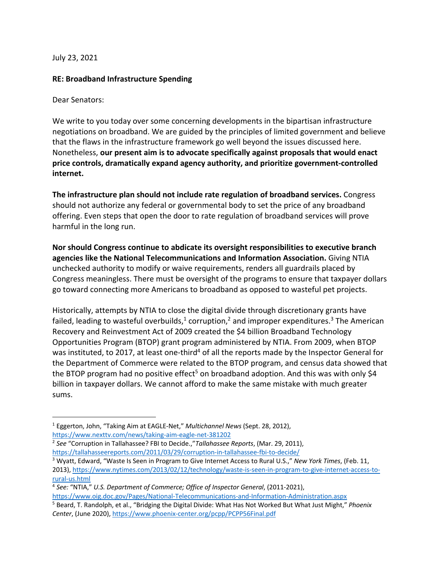July 23, 2021

## **RE: Broadband Infrastructure Spending**

Dear Senators:

We write to you today over some concerning developments in the bipartisan infrastructure negotiations on broadband. We are guided by the principles of limited government and believe that the flaws in the infrastructure framework go well beyond the issues discussed here. Nonetheless, **our present aim is to advocate specifically against proposals that would enact price controls, dramatically expand agency authority, and prioritize government-controlled internet.**

**The infrastructure plan should not include rate regulation of broadband services.** Congress should not authorize any federal or governmental body to set the price of any broadband offering. Even steps that open the door to rate regulation of broadband services will prove harmful in the long run.

**Nor should Congress continue to abdicate its oversight responsibilities to executive branch agencies like the National Telecommunications and Information Association.** Giving NTIA unchecked authority to modify or waive requirements, renders all guardrails placed by Congress meaningless. There must be oversight of the programs to ensure that taxpayer dollars go toward connecting more Americans to broadband as opposed to wasteful pet projects.

Historically, attempts by NTIA to close the digital divide through discretionary grants have failed, leading to wasteful overbuilds,<sup>1</sup> corruption,<sup>2</sup> and improper expenditures.<sup>3</sup> The American Recovery and Reinvestment Act of 2009 created the \$4 billion Broadband Technology Opportunities Program (BTOP) grant program administered by NTIA. From 2009, when BTOP was instituted, to 2017, at least one-third<sup>4</sup> of all the reports made by the Inspector General for the Department of Commerce were related to the BTOP program, and census data showed that the BTOP program had no positive effect<sup>5</sup> on broadband adoption. And this was with only \$4 billion in taxpayer dollars. We cannot afford to make the same mistake with much greater sums.

<sup>1</sup> Eggerton, John, "Taking Aim at EAGLE-Net," *Multichannel News* (Sept. 28, 2012), https://www.nexttv.com/news/taking-aim-eagle-net-381202

<sup>2</sup> *See* "Corruption in Tallahassee? FBI to Decide.,"*Tallahassee Reports*, (Mar. 29, 2011), https://tallahasseereports.com/2011/03/29/corruption-in-tallahassee-fbi-to-decide/

<sup>3</sup> Wyatt, Edward, "Waste Is Seen in Program to Give Internet Access to Rural U.S.," *New York Times*, (Feb. 11, 2013), https://www.nytimes.com/2013/02/12/technology/waste-is-seen-in-program-to-give-internet-access-torural-us.html

<sup>4</sup> *See:* "NTIA," *U.S. Department of Commerce; Office of Inspector General*, (2011-2021),

https://www.oig.doc.gov/Pages/National-Telecommunications-and-Information-Administration.aspx

<sup>5</sup> Beard, T. Randolph, et al., "Bridging the Digital Divide: What Has Not Worked But What Just Might," *Phoenix Center*, (June 2020), https://www.phoenix-center.org/pcpp/PCPP56Final.pdf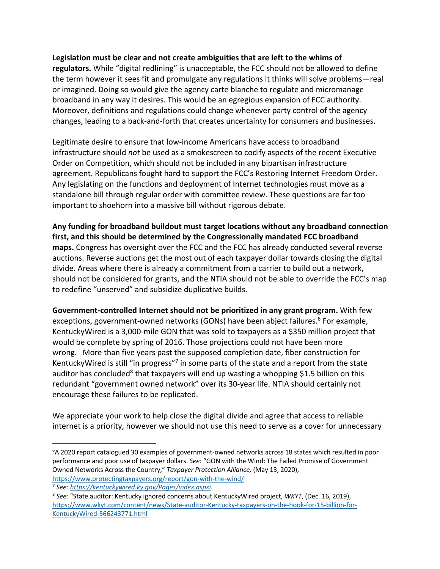## **Legislation must be clear and not create ambiguities that are left to the whims of**

**regulators.** While "digital redlining" is unacceptable, the FCC should not be allowed to define the term however it sees fit and promulgate any regulations it thinks will solve problems—real or imagined. Doing so would give the agency carte blanche to regulate and micromanage broadband in any way it desires. This would be an egregious expansion of FCC authority. Moreover, definitions and regulations could change whenever party control of the agency changes, leading to a back-and-forth that creates uncertainty for consumers and businesses.

Legitimate desire to ensure that low-income Americans have access to broadband infrastructure should *not* be used as a smokescreen to codify aspects of the recent Executive Order on Competition, which should not be included in any bipartisan infrastructure agreement. Republicans fought hard to support the FCC's Restoring Internet Freedom Order. Any legislating on the functions and deployment of Internet technologies must move as a standalone bill through regular order with committee review. These questions are far too important to shoehorn into a massive bill without rigorous debate.

**Any funding for broadband buildout must target locations without any broadband connection first, and this should be determined by the Congressionally mandated FCC broadband maps.** Congress has oversight over the FCC and the FCC has already conducted several reverse auctions. Reverse auctions get the most out of each taxpayer dollar towards closing the digital divide. Areas where there is already a commitment from a carrier to build out a network, should not be considered for grants, and the NTIA should not be able to override the FCC's map to redefine "unserved" and subsidize duplicative builds.

**Government-controlled Internet should not be prioritized in any grant program.** With few exceptions, government-owned networks (GONs) have been abject failures.<sup>6</sup> For example, KentuckyWired is a 3,000-mile GON that was sold to taxpayers as a \$350 million project that would be complete by spring of 2016. Those projections could not have been more wrong. More than five years past the supposed completion date, fiber construction for KentuckyWired is still "in progress"<sup>7</sup> in some parts of the state and a report from the state auditor has concluded<sup>8</sup> that taxpayers will end up wasting a whopping \$1.5 billion on this redundant "government owned network" over its 30-year life. NTIA should certainly not encourage these failures to be replicated.

We appreciate your work to help close the digital divide and agree that access to reliable internet is a priority, however we should not use this need to serve as a cover for unnecessary

<sup>&</sup>lt;sup>6</sup>A 2020 report catalogued 30 examples of government-owned networks across 18 states which resulted in poor performance and poor use of taxpayer dollars. *See*: "GON with the Wind: The Failed Promise of Government Owned Networks Across the Country," *Taxpayer Protection Alliance,* (May 13, 2020), https://www.protectingtaxpayers.org/report/gon-with-the-wind/

<sup>&</sup>lt;sup>7</sup> See: <u>https://kentuckywired.ky.gov/Pages/index.aspxi</u>.<br><sup>8</sup> See: "State auditor: Kentucky ignored concerns about KentuckyWired project, *WKYT*, (Dec. 16, 2019), https://www.wkyt.com/content/news/State-auditor-Kentucky-taxpayers-on-the-hook-for-15-billion-for-KentuckyWired-566243771.html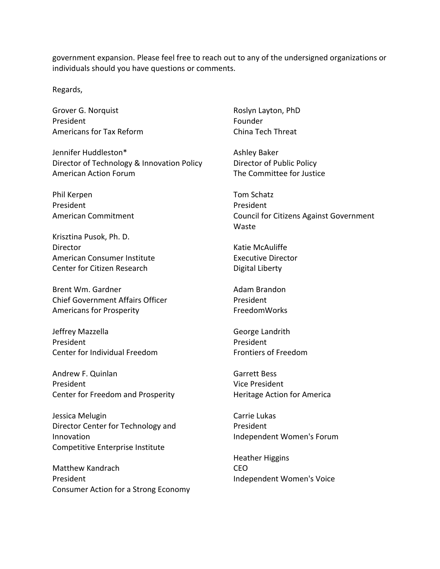government expansion. Please feel free to reach out to any of the undersigned organizations or individuals should you have questions or comments.

Regards,

Grover G. Norquist President Americans for Tax Reform

Jennifer Huddleston\* Director of Technology & Innovation Policy American Action Forum

Phil Kerpen President American Commitment

Krisztina Pusok, Ph. D. **Director** American Consumer Institute Center for Citizen Research

Brent Wm. Gardner Chief Government Affairs Officer Americans for Prosperity

Jeffrey Mazzella President Center for Individual Freedom

Andrew F. Quinlan President Center for Freedom and Prosperity

Jessica Melugin Director Center for Technology and Innovation Competitive Enterprise Institute

Matthew Kandrach President Consumer Action for a Strong Economy Roslyn Layton, PhD Founder China Tech Threat

Ashley Baker Director of Public Policy The Committee for Justice

Tom Schatz President Council for Citizens Against Government Waste

Katie McAuliffe Executive Director Digital Liberty

Adam Brandon President FreedomWorks

George Landrith President Frontiers of Freedom

Garrett Bess Vice President Heritage Action for America

Carrie Lukas President Independent Women's Forum

Heather Higgins CEO Independent Women's Voice